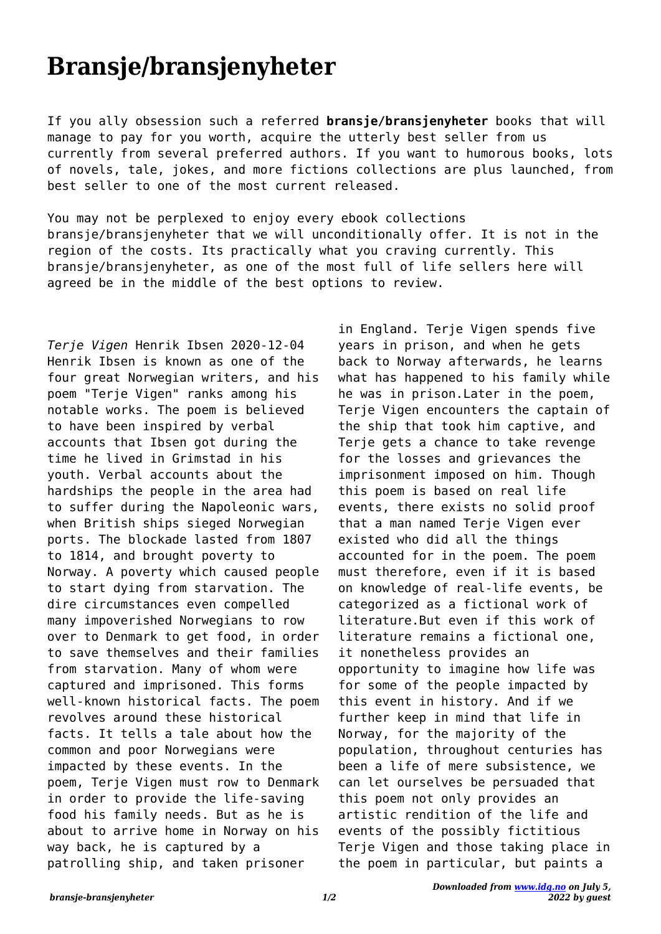## **Bransje/bransjenyheter**

If you ally obsession such a referred **bransje/bransjenyheter** books that will manage to pay for you worth, acquire the utterly best seller from us currently from several preferred authors. If you want to humorous books, lots of novels, tale, jokes, and more fictions collections are plus launched, from best seller to one of the most current released.

You may not be perplexed to enjoy every ebook collections bransje/bransjenyheter that we will unconditionally offer. It is not in the region of the costs. Its practically what you craving currently. This bransje/bransjenyheter, as one of the most full of life sellers here will agreed be in the middle of the best options to review.

*Terje Vigen* Henrik Ibsen 2020-12-04 Henrik Ibsen is known as one of the four great Norwegian writers, and his poem "Terje Vigen" ranks among his notable works. The poem is believed to have been inspired by verbal accounts that Ibsen got during the time he lived in Grimstad in his youth. Verbal accounts about the hardships the people in the area had to suffer during the Napoleonic wars, when British ships sieged Norwegian ports. The blockade lasted from 1807 to 1814, and brought poverty to Norway. A poverty which caused people to start dying from starvation. The dire circumstances even compelled many impoverished Norwegians to row over to Denmark to get food, in order to save themselves and their families from starvation. Many of whom were captured and imprisoned. This forms well-known historical facts. The poem revolves around these historical facts. It tells a tale about how the common and poor Norwegians were impacted by these events. In the poem, Terje Vigen must row to Denmark in order to provide the life-saving food his family needs. But as he is about to arrive home in Norway on his way back, he is captured by a patrolling ship, and taken prisoner

in England. Terje Vigen spends five years in prison, and when he gets back to Norway afterwards, he learns what has happened to his family while he was in prison.Later in the poem, Terje Vigen encounters the captain of the ship that took him captive, and Terje gets a chance to take revenge for the losses and grievances the imprisonment imposed on him. Though this poem is based on real life events, there exists no solid proof that a man named Terje Vigen ever existed who did all the things accounted for in the poem. The poem must therefore, even if it is based on knowledge of real-life events, be categorized as a fictional work of literature.But even if this work of literature remains a fictional one, it nonetheless provides an opportunity to imagine how life was for some of the people impacted by this event in history. And if we further keep in mind that life in Norway, for the majority of the population, throughout centuries has been a life of mere subsistence, we can let ourselves be persuaded that this poem not only provides an artistic rendition of the life and events of the possibly fictitious Terje Vigen and those taking place in the poem in particular, but paints a